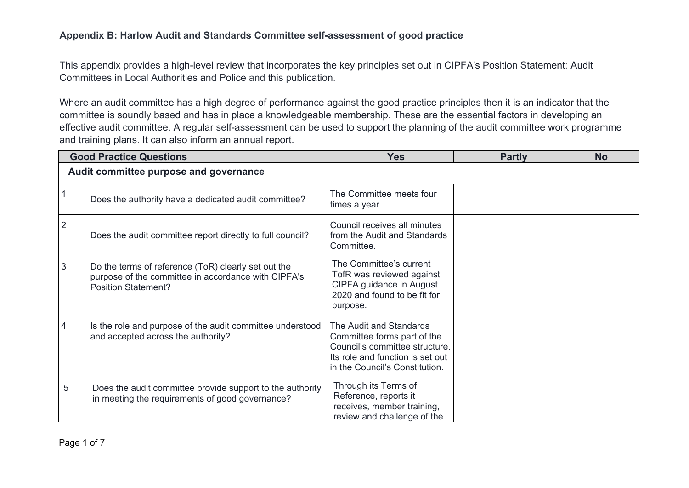## **Appendix B: Harlow Audit and Standards Committee self-assessment of good practice**

This appendix provides a high-level review that incorporates the key principles set out in CIPFA's Position Statement: Audit Committees in Local Authorities and Police and this publication.

Where an audit committee has a high degree of performance against the good practice principles then it is an indicator that the committee is soundly based and has in place a knowledgeable membership. These are the essential factors in developing an effective audit committee. A regular self-assessment can be used to support the planning of the audit committee work programme and training plans. It can also inform an annual report.

| <b>Good Practice Questions</b>         |                                                                                                                                          | <b>Yes</b>                                                                                                                                                     | <b>Partly</b> | <b>No</b> |
|----------------------------------------|------------------------------------------------------------------------------------------------------------------------------------------|----------------------------------------------------------------------------------------------------------------------------------------------------------------|---------------|-----------|
| Audit committee purpose and governance |                                                                                                                                          |                                                                                                                                                                |               |           |
|                                        | Does the authority have a dedicated audit committee?                                                                                     | The Committee meets four<br>times a year.                                                                                                                      |               |           |
| $\overline{2}$                         | Does the audit committee report directly to full council?                                                                                | Council receives all minutes<br>from the Audit and Standards<br>Committee.                                                                                     |               |           |
| 3                                      | Do the terms of reference (ToR) clearly set out the<br>purpose of the committee in accordance with CIPFA's<br><b>Position Statement?</b> | The Committee's current<br>TofR was reviewed against<br>CIPFA guidance in August<br>2020 and found to be fit for<br>purpose.                                   |               |           |
| 4                                      | Is the role and purpose of the audit committee understood<br>and accepted across the authority?                                          | The Audit and Standards<br>Committee forms part of the<br>Council's committee structure.<br>Its role and function is set out<br>in the Council's Constitution. |               |           |
| 5                                      | Does the audit committee provide support to the authority<br>in meeting the requirements of good governance?                             | Through its Terms of<br>Reference, reports it<br>receives, member training,<br>review and challenge of the                                                     |               |           |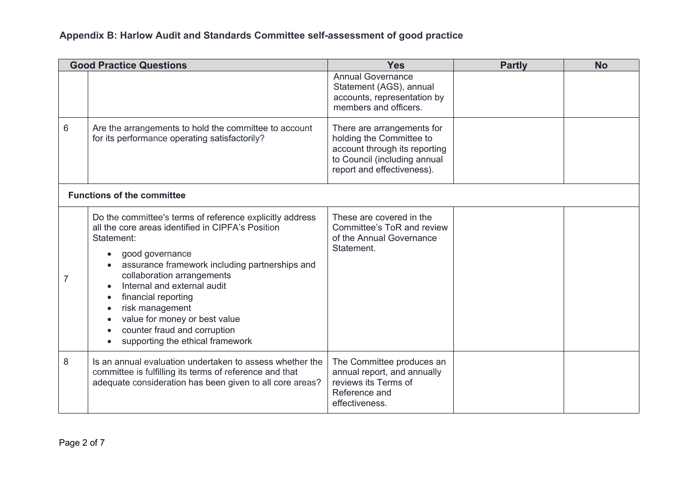|   | <b>Good Practice Questions</b>                                                                                                                                                                                                                                                                                                                                                                                            | <b>Yes</b>                                                                                                                                            | <b>Partly</b> | <b>No</b> |
|---|---------------------------------------------------------------------------------------------------------------------------------------------------------------------------------------------------------------------------------------------------------------------------------------------------------------------------------------------------------------------------------------------------------------------------|-------------------------------------------------------------------------------------------------------------------------------------------------------|---------------|-----------|
|   |                                                                                                                                                                                                                                                                                                                                                                                                                           | <b>Annual Governance</b><br>Statement (AGS), annual<br>accounts, representation by<br>members and officers.                                           |               |           |
| 6 | Are the arrangements to hold the committee to account<br>for its performance operating satisfactorily?                                                                                                                                                                                                                                                                                                                    | There are arrangements for<br>holding the Committee to<br>account through its reporting<br>to Council (including annual<br>report and effectiveness). |               |           |
|   | <b>Functions of the committee</b>                                                                                                                                                                                                                                                                                                                                                                                         |                                                                                                                                                       |               |           |
| 7 | Do the committee's terms of reference explicitly address<br>all the core areas identified in CIPFA's Position<br>Statement:<br>good governance<br>$\bullet$<br>assurance framework including partnerships and<br>collaboration arrangements<br>Internal and external audit<br>financial reporting<br>risk management<br>value for money or best value<br>counter fraud and corruption<br>supporting the ethical framework | These are covered in the<br>Committee's ToR and review<br>of the Annual Governance<br>Statement.                                                      |               |           |
| 8 | Is an annual evaluation undertaken to assess whether the<br>committee is fulfilling its terms of reference and that<br>adequate consideration has been given to all core areas?                                                                                                                                                                                                                                           | The Committee produces an<br>annual report, and annually<br>reviews its Terms of<br>Reference and<br>effectiveness.                                   |               |           |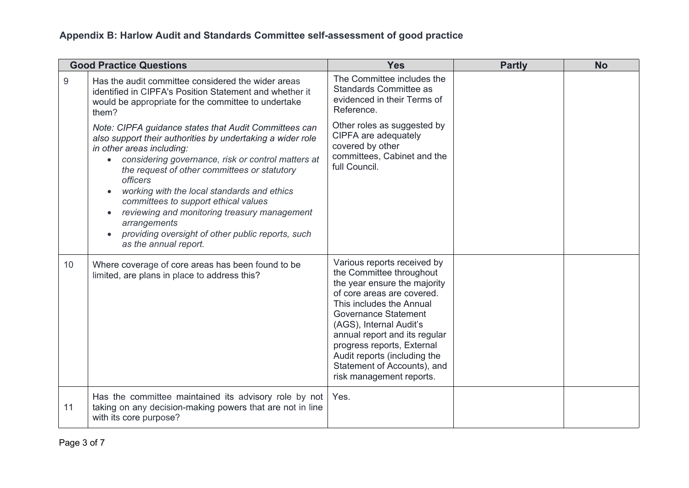|       | <b>Good Practice Questions</b>                                                                                                                                                                                                                                                                                                                                                                                                                                                                                                                        | <b>Yes</b>                                                                                                                                                                                                                                                                                                                                                            | <b>Partly</b> | <b>No</b> |
|-------|-------------------------------------------------------------------------------------------------------------------------------------------------------------------------------------------------------------------------------------------------------------------------------------------------------------------------------------------------------------------------------------------------------------------------------------------------------------------------------------------------------------------------------------------------------|-----------------------------------------------------------------------------------------------------------------------------------------------------------------------------------------------------------------------------------------------------------------------------------------------------------------------------------------------------------------------|---------------|-----------|
| $9\,$ | Has the audit committee considered the wider areas<br>identified in CIPFA's Position Statement and whether it<br>would be appropriate for the committee to undertake<br>them?                                                                                                                                                                                                                                                                                                                                                                         | The Committee includes the<br><b>Standards Committee as</b><br>evidenced in their Terms of<br>Reference.                                                                                                                                                                                                                                                              |               |           |
|       | Note: CIPFA guidance states that Audit Committees can<br>also support their authorities by undertaking a wider role<br>in other areas including:<br>considering governance, risk or control matters at<br>$\bullet$<br>the request of other committees or statutory<br><i>officers</i><br>working with the local standards and ethics<br>committees to support ethical values<br>reviewing and monitoring treasury management<br>$\bullet$<br>arrangements<br>providing oversight of other public reports, such<br>$\bullet$<br>as the annual report. | Other roles as suggested by<br>CIPFA are adequately<br>covered by other<br>committees, Cabinet and the<br>full Council.                                                                                                                                                                                                                                               |               |           |
| 10    | Where coverage of core areas has been found to be<br>limited, are plans in place to address this?                                                                                                                                                                                                                                                                                                                                                                                                                                                     | Various reports received by<br>the Committee throughout<br>the year ensure the majority<br>of core areas are covered.<br>This includes the Annual<br><b>Governance Statement</b><br>(AGS), Internal Audit's<br>annual report and its regular<br>progress reports, External<br>Audit reports (including the<br>Statement of Accounts), and<br>risk management reports. |               |           |
| 11    | Has the committee maintained its advisory role by not<br>taking on any decision-making powers that are not in line<br>with its core purpose?                                                                                                                                                                                                                                                                                                                                                                                                          | Yes.                                                                                                                                                                                                                                                                                                                                                                  |               |           |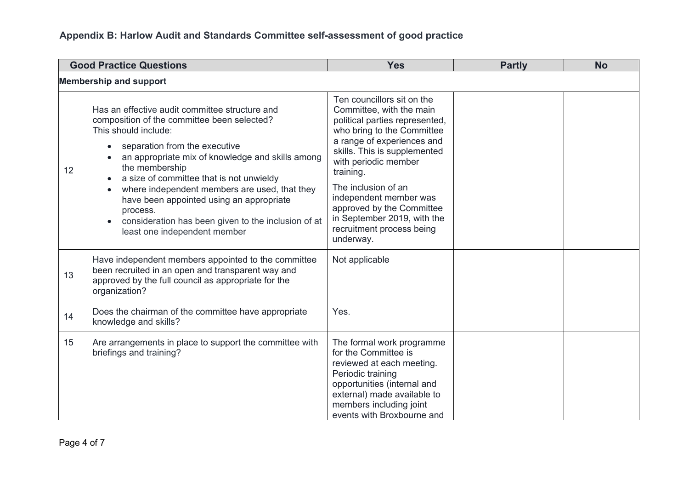| <b>Good Practice Questions</b> |                                                                                                                                                                                                                                                                                                                                                                                                                                                                          | <b>Yes</b>                                                                                                                                                                                                                                                                                                                                                                       | <b>Partly</b> | <b>No</b> |
|--------------------------------|--------------------------------------------------------------------------------------------------------------------------------------------------------------------------------------------------------------------------------------------------------------------------------------------------------------------------------------------------------------------------------------------------------------------------------------------------------------------------|----------------------------------------------------------------------------------------------------------------------------------------------------------------------------------------------------------------------------------------------------------------------------------------------------------------------------------------------------------------------------------|---------------|-----------|
|                                | <b>Membership and support</b>                                                                                                                                                                                                                                                                                                                                                                                                                                            |                                                                                                                                                                                                                                                                                                                                                                                  |               |           |
| 12                             | Has an effective audit committee structure and<br>composition of the committee been selected?<br>This should include:<br>separation from the executive<br>an appropriate mix of knowledge and skills among<br>the membership<br>a size of committee that is not unwieldy<br>where independent members are used, that they<br>have been appointed using an appropriate<br>process.<br>consideration has been given to the inclusion of at<br>least one independent member | Ten councillors sit on the<br>Committee, with the main<br>political parties represented,<br>who bring to the Committee<br>a range of experiences and<br>skills. This is supplemented<br>with periodic member<br>training.<br>The inclusion of an<br>independent member was<br>approved by the Committee<br>in September 2019, with the<br>recruitment process being<br>underway. |               |           |
| 13                             | Have independent members appointed to the committee<br>been recruited in an open and transparent way and<br>approved by the full council as appropriate for the<br>organization?                                                                                                                                                                                                                                                                                         | Not applicable                                                                                                                                                                                                                                                                                                                                                                   |               |           |
| 14                             | Does the chairman of the committee have appropriate<br>knowledge and skills?                                                                                                                                                                                                                                                                                                                                                                                             | Yes.                                                                                                                                                                                                                                                                                                                                                                             |               |           |
| 15                             | Are arrangements in place to support the committee with<br>briefings and training?                                                                                                                                                                                                                                                                                                                                                                                       | The formal work programme<br>for the Committee is<br>reviewed at each meeting.<br>Periodic training<br>opportunities (internal and<br>external) made available to<br>members including joint<br>events with Broxbourne and                                                                                                                                                       |               |           |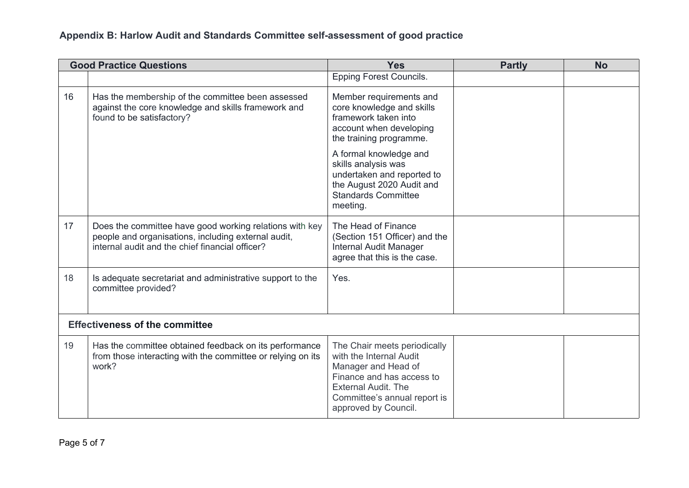| <b>Good Practice Questions</b> |                                                                                                                                                                   | <b>Yes</b>                                                                                                                                                                                        | <b>Partly</b> | <b>No</b> |  |
|--------------------------------|-------------------------------------------------------------------------------------------------------------------------------------------------------------------|---------------------------------------------------------------------------------------------------------------------------------------------------------------------------------------------------|---------------|-----------|--|
|                                |                                                                                                                                                                   | <b>Epping Forest Councils.</b>                                                                                                                                                                    |               |           |  |
| 16                             | Has the membership of the committee been assessed<br>against the core knowledge and skills framework and<br>found to be satisfactory?                             | Member requirements and<br>core knowledge and skills<br>framework taken into<br>account when developing<br>the training programme.                                                                |               |           |  |
|                                |                                                                                                                                                                   | A formal knowledge and<br>skills analysis was<br>undertaken and reported to<br>the August 2020 Audit and<br><b>Standards Committee</b><br>meeting.                                                |               |           |  |
| 17                             | Does the committee have good working relations with key<br>people and organisations, including external audit,<br>internal audit and the chief financial officer? | The Head of Finance<br>(Section 151 Officer) and the<br>Internal Audit Manager<br>agree that this is the case.                                                                                    |               |           |  |
| 18                             | Is adequate secretariat and administrative support to the<br>committee provided?                                                                                  | Yes.                                                                                                                                                                                              |               |           |  |
|                                | <b>Effectiveness of the committee</b>                                                                                                                             |                                                                                                                                                                                                   |               |           |  |
| 19                             | Has the committee obtained feedback on its performance<br>from those interacting with the committee or relying on its<br>work?                                    | The Chair meets periodically<br>with the Internal Audit<br>Manager and Head of<br>Finance and has access to<br><b>External Audit. The</b><br>Committee's annual report is<br>approved by Council. |               |           |  |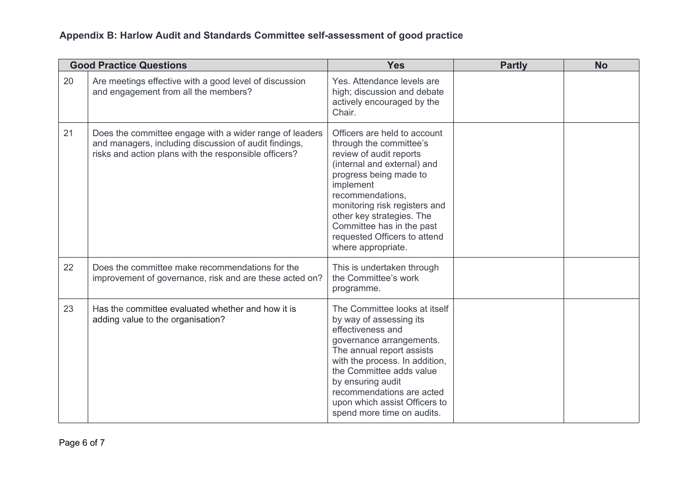|    | <b>Good Practice Questions</b>                                                                                                                                            | <b>Yes</b>                                                                                                                                                                                                                                                                                                                    | <b>Partly</b> | <b>No</b> |
|----|---------------------------------------------------------------------------------------------------------------------------------------------------------------------------|-------------------------------------------------------------------------------------------------------------------------------------------------------------------------------------------------------------------------------------------------------------------------------------------------------------------------------|---------------|-----------|
| 20 | Are meetings effective with a good level of discussion<br>and engagement from all the members?                                                                            | Yes. Attendance levels are<br>high; discussion and debate<br>actively encouraged by the<br>Chair.                                                                                                                                                                                                                             |               |           |
| 21 | Does the committee engage with a wider range of leaders<br>and managers, including discussion of audit findings,<br>risks and action plans with the responsible officers? | Officers are held to account<br>through the committee's<br>review of audit reports<br>(internal and external) and<br>progress being made to<br>implement<br>recommendations.<br>monitoring risk registers and<br>other key strategies. The<br>Committee has in the past<br>requested Officers to attend<br>where appropriate. |               |           |
| 22 | Does the committee make recommendations for the<br>improvement of governance, risk and are these acted on?                                                                | This is undertaken through<br>the Committee's work<br>programme.                                                                                                                                                                                                                                                              |               |           |
| 23 | Has the committee evaluated whether and how it is<br>adding value to the organisation?                                                                                    | The Committee looks at itself<br>by way of assessing its<br>effectiveness and<br>governance arrangements.<br>The annual report assists<br>with the process. In addition,<br>the Committee adds value<br>by ensuring audit<br>recommendations are acted<br>upon which assist Officers to<br>spend more time on audits.         |               |           |